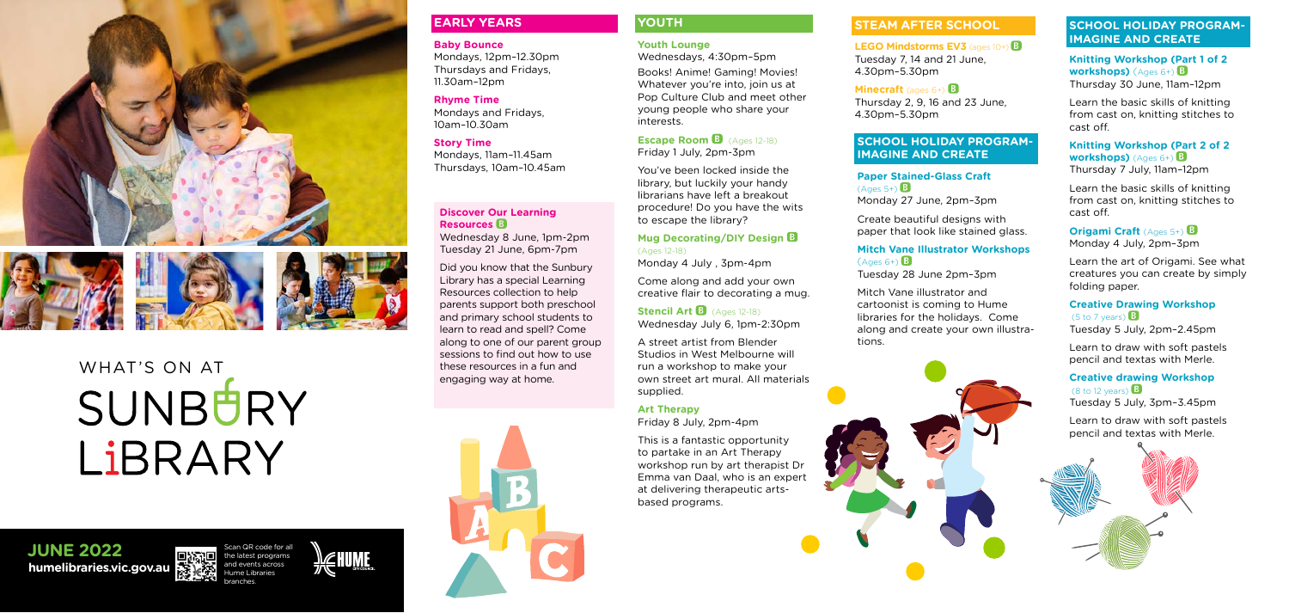





# WHAT'S ON AT SUNBURY LIBRARY





**humelibraries.vic.gov.au**



## **JUNE 2022**

#### **EARLY YEARS**

#### **Baby Bounce**

Mondays, 12pm–12.30pm Thursdays and Fridays, 11.30am–12pm

#### **Rhyme Time**

Mondays and Fridays, 10am–10.30am

#### **Story Time**

**Escape Room B** (Ages 12-18) Friday 1 July, 2pm-3pm

Mondays, 11am–11.45am Thursdays, 10am–10.45am

#### **YOUTH**

### **Youth Lounge**

Wednesdays, 4:30pm–5pm Books! Anime! Gaming! Movies! Whatever you're into, join us at Pop Culture Club and meet other young people who share your

**Stencil Art B** (Ages 12-18) Wednesday July 6, 1pm-2:30pm

interests.

You've been locked inside the library, but luckily your handy librarians have left a breakout procedure! Do you have the wits to escape the library?

#### **Mug Decorating/DIY Design** (Ages 12-18)

Monday 4 July , 3pm-4pm

Come along and add your own creative flair to decorating a mug.

**LEGO Mindstorms EV3** (ages 10+) **B** Tuesday 7, 14 and 21 June, 4.30pm–5.30pm

**Minecraft** (ages 6+) **B** Thursday 2, 9, 16 and 23 June, 4.30pm–5.30pm

A street artist from Blender Studios in West Melbourne will run a workshop to make your own street art mural. All materials supplied.

#### **Art Therapy**

Friday 8 July, 2pm-4pm

This is a fantastic opportunity to partake in an Art Therapy workshop run by art therapist Dr Emma van Daal, who is an expert at delivering therapeutic artsbased programs.

#### **Knitting Workshop (Part 2 of 2 workshops)** (Ages 6+) **B**

#### **Discover Our Learning Resources**

#### **Origami Craft** (Ages 5+) **B** Monday 4 July, 2pm–3pm

Wednesday 8 June, 1pm-2pm Tuesday 21 June, 6pm-7pm

#### **Creative Drawing Workshop**  $(5 to 7 years)$

Did you know that the Sunbury Library has a special Learning Resources collection to help parents support both preschool and primary school students to learn to read and spell? Come along to one of our parent group sessions to find out how to use these resources in a fun and engaging way at home.



#### **STEAM AFTER SCHOOL**

#### **SCHOOL HOLIDAY PROGRAM-IMAGINE AND CREATE**

**Paper Stained-Glass Craft**   $(A$ ges 5+)  $\mathbf{\overline{B}}$ Monday 27 June, 2pm–3pm

Create beautiful designs with paper that look like stained glass.

# $(A$ ges 6+)  $\beta$

#### **Mitch Vane Illustrator Workshops**

Tuesday 28 June 2pm–3pm

Mitch Vane illustrator and cartoonist is coming to Hume libraries for the holidays. Come along and create your own illustra tions.

#### **SCHOOL HOLIDAY PROGRAM-IMAGINE AND CREATE**

#### **Knitting Workshop (Part 1 of 2 workshops)**  (Ages 6+) Thursday 30 June, 11am–12pm

Learn the basic skills of knitting from cast on, knitting stitches to cast off.

Thursday 7 July, 11am–12pm

Learn the basic skills of knitting from cast on, knitting stitches to cast off.

Learn the art of Origami. See what creatures you can create by simply folding paper.

Tuesday 5 July, 2pm–2.45pm

Learn to draw with soft pastels pencil and textas with Merle.

## **Creative drawing Workshop**



Tuesday 5 July, 3pm–3.45pm

Learn to draw with soft pastels pencil and textas with Merle.